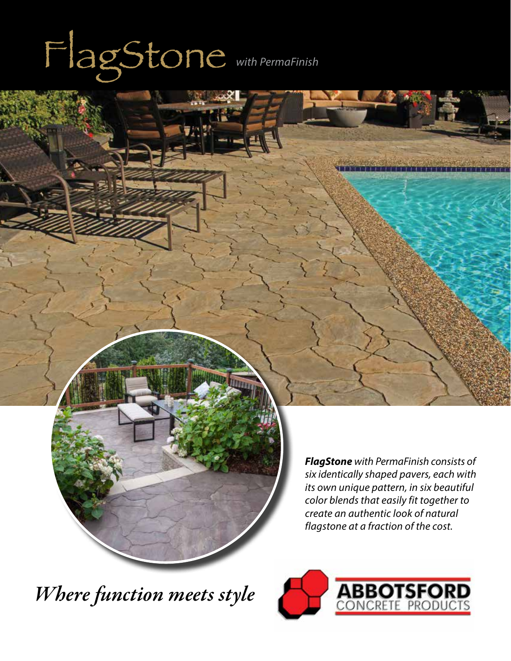# FlagStone *with PermaFinish*

*FlagStone with PermaFinish consists of six identically shaped pavers, each with its own unique pattern, in six beautiful color blends that easily fit together to create an authentic look of natural flagstone at a fraction of the cost.* 

*Where function meets style*